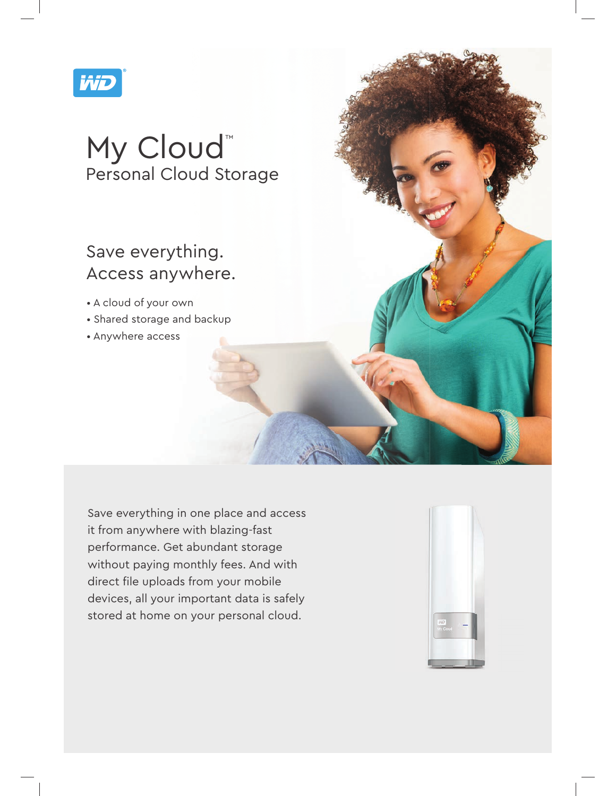

# My Cloud™ Personal Cloud Storage

# Save everything. Access anywhere.

- A cloud of your own
- Shared storage and backup
- Anywhere access

Save everything in one place and access it from anywhere with blazing-fast performance. Get abundant storage without paying monthly fees. And with direct file uploads from your mobile devices, all your important data is safely stored at home on your personal cloud.